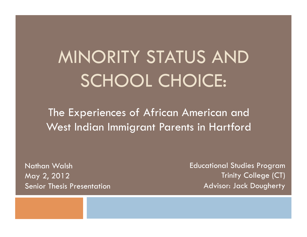# MINORITY STATUS AND SCHOOL CHOICE:

The Experiences of African American and West Indian Immigrant Parents in Hartford

Nathan Walsh May 2, 2012 Senior Thesis Presentation Educational Studies Program Trinity College (CT) Advisor: Jack Dougherty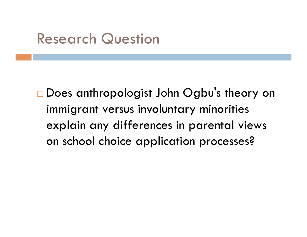### Research Question

□ Does anthropologist John Ogbu's theory on immigrant versus involuntary minorities explain any differences in parental views on school choice application processes?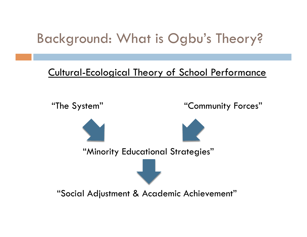### Background: What is Ogbu's Theory?

#### Cultural-Ecological Theory of School Performance

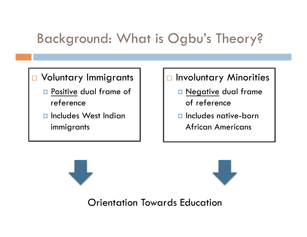### Background: What is Ogbu's Theory?

#### □ Voluntary Immigrants

- **Positive dual frame of** reference
- $\blacksquare$  Includes West Indian immigrants

#### **D** Involuntary Minorities

- **Negative dual frame** of reference
- $\blacksquare$  Includes native-born African Americans

Orientation Towards Education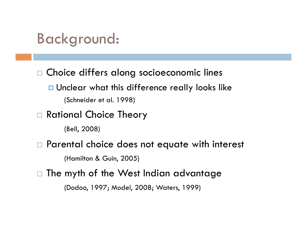### Background:

□ Choice differs along socioeconomic lines

- Unclear what this difference really looks like (Schneider et al. 1998)
- □ Rational Choice Theory
	- (Bell, 2008)
- □ Parental choice does not equate with interest

(Hamilton & Guin, 2005)

 $\Box$  The myth of the West Indian advantage

(Dodoo, 1997; Model, 2008; Waters, 1999)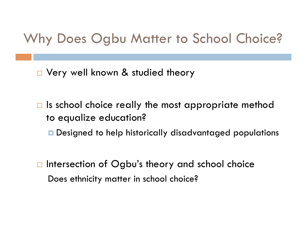### Why Does Ogbu Matter to School Choice?

□ Very well known & studied theory

- $\Box$  Is school choice really the most appropriate method to equalize education?
	- **Designed to help historically disadvantaged populations**
- $\Box$  Intersection of Ogbu's theory and school choice Does ethnicity matter in school choice?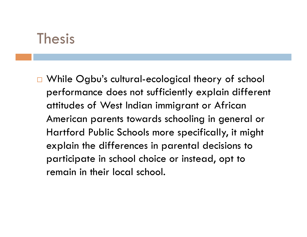#### Thesis

□ While Ogbu's cultural-ecological theory of school performance does not sufficiently explain different attitudes of West Indian immigrant or African American parents towards schooling in general or Hartford Public Schools more specifically, it might explain the differences in parental decisions to participate in school choice or instead, opt to remain in their local school.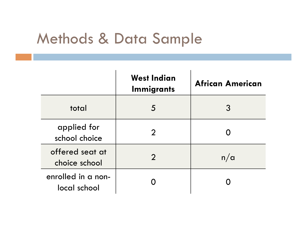### Methods & Data Sample

|                                    | <b>West Indian</b><br><b>Immigrants</b> | <b>African American</b> |
|------------------------------------|-----------------------------------------|-------------------------|
| total                              | 5                                       | 3                       |
| applied for<br>school choice       |                                         |                         |
| offered seat at<br>choice school   | $\mathbf{C}$                            | n/a                     |
| enrolled in a non-<br>local school |                                         |                         |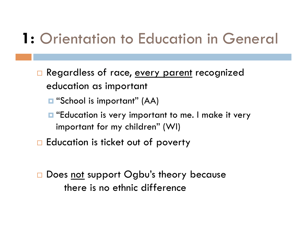## 1: Orientation to Education in General

- Regardless of race, every parent recognized education as important
	- **□** "School is important" (AA)
	- $\blacksquare$  "Education is very important to me. I make it very important for my children" (WI)
- $\Box$  Education is ticket out of poverty
- □ Does not support Ogbu's theory because there is no ethnic difference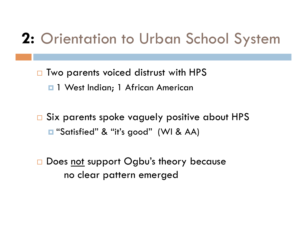## 2: Orientation to Urban School System

- □ Two parents voiced distrust with HPS **1 West Indian; 1 African American**
- □ Six parents spoke vaguely positive about HPS ■ "Satisfied" & "it's good" (WI & AA)
- □ Does not support Ogbu's theory because no clear pattern emerged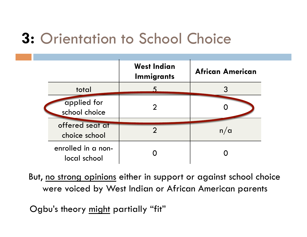## Orientation to School Choice **3:**

|                                    | <b>West Indian</b><br><b>Immigrants</b> | <b>African American</b> |
|------------------------------------|-----------------------------------------|-------------------------|
| total                              |                                         |                         |
| applied for<br>school choice       |                                         |                         |
| offered seat at<br>choice school   | 2                                       | n/a                     |
| enrolled in a non-<br>local school |                                         |                         |

But, no strong opinions either in support or against school choice were voiced by West Indian or African American parents

Ogbu's theory might partially "fit"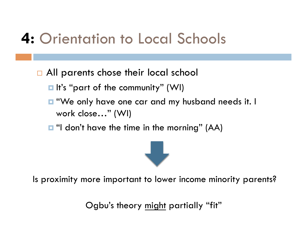## Orientation to Local Schools **4:**

- □ All parents chose their local school
	- $\blacksquare$  It's "part of the community" (WI)
	- "We only have one car and my husband needs it. I work close…" (WI)
	- $\blacksquare$  "I don't have the time in the morning" (AA)



Is proximity more important to lower income minority parents?

Ogbu's theory might partially "fit"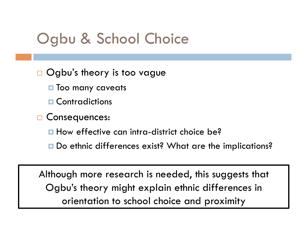### Ogbu & School Choice

#### □ Ogbu's theory is too vague

- **T** Too many caveats
- **n** Contradictions
- □ Consequences:
	- **How effective can intra-district choice be?**
	- **□** Do ethnic differences exist? What are the implications?

Although more research is needed, this suggests that Ogbu's theory might explain ethnic differences in orientation to school choice and proximity